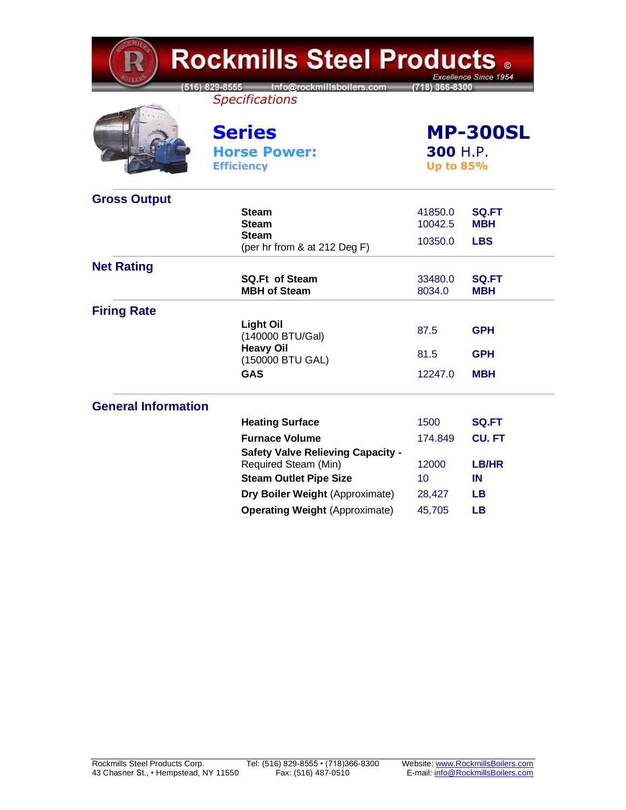| <b>Rockmills Steel Products 。</b><br>Excellence Since 1954 |                                                                  |                                                 |                            |  |
|------------------------------------------------------------|------------------------------------------------------------------|-------------------------------------------------|----------------------------|--|
|                                                            | 516) 829-8555 Info@rockmillsboilers.com<br><b>Specifications</b> | (718) 366-8300                                  |                            |  |
|                                                            | <b>Series</b>                                                    | <b>MP-300SL</b><br>300 H.P.<br><b>Up to 85%</b> |                            |  |
|                                                            | <b>Horse Power:</b><br><b>Efficiency</b>                         |                                                 |                            |  |
| <b>Gross Output</b>                                        |                                                                  |                                                 |                            |  |
|                                                            | <b>Steam</b><br><b>Steam</b>                                     | 41850.0<br>10042.5                              | <b>SQ.FT</b><br><b>MBH</b> |  |
|                                                            | <b>Steam</b><br>(per hr from & at 212 Deg F)                     | 10350.0                                         | <b>LBS</b>                 |  |
| <b>Net Rating</b>                                          |                                                                  |                                                 |                            |  |
|                                                            | <b>SQ.Ft of Steam</b><br><b>MBH of Steam</b>                     | 33480.0<br>8034.0                               | <b>SQ.FT</b><br><b>MBH</b> |  |
| <b>Firing Rate</b>                                         |                                                                  |                                                 |                            |  |
|                                                            | <b>Light Oil</b><br>(140000 BTU/Gal)                             | 87.5                                            | <b>GPH</b>                 |  |
|                                                            | <b>Heavy Oil</b><br>(150000 BTU GAL)                             | 81.5                                            | <b>GPH</b>                 |  |
|                                                            | <b>GAS</b>                                                       | 12247.0                                         | <b>MBH</b>                 |  |
| <b>General Information</b>                                 |                                                                  |                                                 |                            |  |
|                                                            | <b>Heating Surface</b>                                           | 1500                                            | <b>SQ.FT</b>               |  |
|                                                            | <b>Furnace Volume</b>                                            | 174.849                                         | <b>CU.FT</b>               |  |
|                                                            | <b>Safety Valve Relieving Capacity -</b>                         |                                                 |                            |  |
|                                                            | Required Steam (Min)<br><b>Steam Outlet Pipe Size</b>            | 12000<br>10                                     | <b>LB/HR</b><br>IN         |  |
|                                                            |                                                                  |                                                 |                            |  |
|                                                            | Dry Boiler Weight (Approximate)                                  | 28,427                                          | LВ                         |  |
|                                                            | <b>Operating Weight (Approximate)</b>                            | 45,705                                          | <b>LB</b>                  |  |

**KMD**